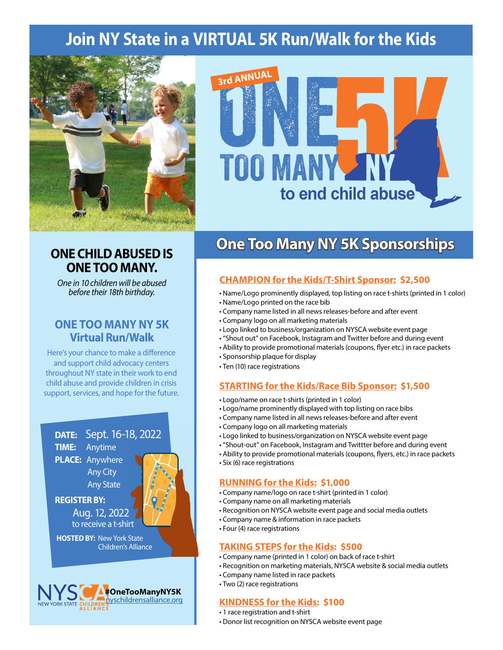# **Join NY State in a VIRTUAL 5K Run/Walk for the Kids**



## **ONE CHILD ABUSED IS ONE TOO MANY.**

*One in 10 children will be abused before their 18th birthday.*

## **ONE TOO MANY NY 5K Virtual Run/Walk**

Here's your chance to make a difference and support child advocacy centers throughout NY state in their work to end child abuse and provide children in crisis support, services, and hope for the future.







## **One Too Many NY 5K Sponsorships**

## **CHAMPION for the Kids/T-Shirt Sponsor: \$2,500**

- Name/Logo prominently displayed, top listing on race t-shirts (printed in 1 color)
- Name/Logo printed on the race bib
- Company name listed in all news releases-before and after event
- Company logo on all marketing materials
- Logo linked to business/organization on NYSCA website event page
- "Shout out" on Facebook, Instagram and Twitter before and during event
- Ability to provide promotional materials (coupons, flyer etc.) in race packets
- Sponsorship plaque for display
- Ten (10) race registrations

### **STARTING for the Kids/Race Bib Sponsor: \$1,500**

- Logo/name on race t-shirts (printed in 1 color)
- Logo/name prominently displayed with top listing on race bibs
- Company name listed in all news releases-before and after event
- Company logo on all marketing materials
- Logo linked to business/organization on NYSCA website event page
- "Shout-out" on Facebook, Instagram and Twittter before and during event
- Ability to provide promotional materials (coupons, flyers, etc.) in race packets
- Six (6) race registrations

#### **RUNNING for the Kids: \$1,000**

- Company name/logo on race t-shirt (printed in 1 color)
- Company name on all marketing materials
- Recognition on NYSCA website event page and social media outlets
- Company name & information in race packets
- Four (4) race registrations

#### **TAKING STEPS for the Kids: \$500**

- Company name (printed in 1 color) on back of race t-shirt
- Recognition on marketing materials, NYSCA website & social media outlets
- Company name listed in race packets
- Two (2) race registrations

### **KINDNESS for the Kids: \$100**

- 1 race registration and t-shirt
- Donor list recognition on NYSCA website event page